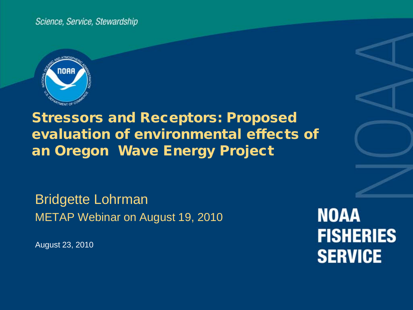Science, Service, Stewardship



## Stressors and Receptors: Proposed evaluation of environmental effects of an Oregon Wave Energy Project

Bridgette Lohrman METAP Webinar on August 19, 2010

August 23, 2010

**NOAA FISHERIES SERVICE**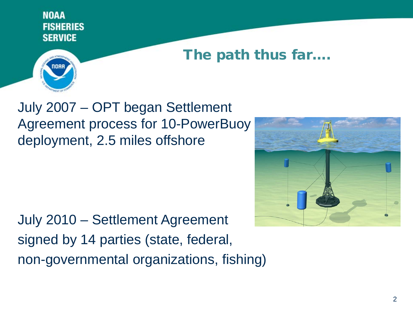## The path thus far….

July 2007 – OPT began Settlement Agreement process for 10-PowerBuoy deployment, 2.5 miles offshore

July 2010 – Settlement Agreement signed by 14 parties (state, federal, non-governmental organizations, fishing)

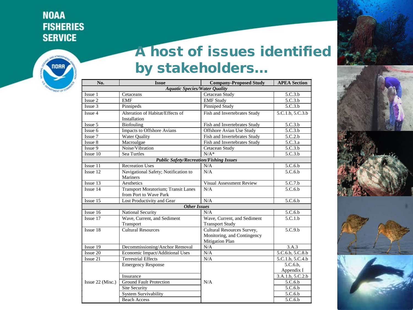

# A host of issues identified by stakeholders…

| No.                                            | <b>Issue</b>                         | <b>Company-Proposed Study</b>   | <b>APEA Section</b>  |  |  |  |  |
|------------------------------------------------|--------------------------------------|---------------------------------|----------------------|--|--|--|--|
| <b>Aquatic Species/Water Quality</b>           |                                      |                                 |                      |  |  |  |  |
| Issue 1                                        | Cetaceans                            | Cetacean Study                  | 5.C.3.b              |  |  |  |  |
| Issue 2                                        | <b>EMF</b>                           | <b>EMF</b> Study                | 5.C.3.b              |  |  |  |  |
| Issue 3                                        | Pinnipeds                            | <b>Pinniped Study</b>           | 5.C.3.b              |  |  |  |  |
| Alteration of Habitat/Effects of<br>Issue 4    |                                      | Fish and Invertebrates Study    | 5.C.1.b, 5.C.3.b     |  |  |  |  |
|                                                | Installation                         |                                 |                      |  |  |  |  |
| Issue 5                                        | Biofouling                           | Fish and Invertebrates Study    | 5.C.3.b              |  |  |  |  |
| Issue 6                                        | Impacts to Offshore Avians           | Offshore Avian Use Study        | 5.C.3.b              |  |  |  |  |
| Issue 7                                        | Water Quality                        | Fish and Invertebrates Study    | 5.C.2.b              |  |  |  |  |
| Issue 8                                        | Macroalgae                           | Fish and Invertebrates Study    | 5.C.3.a              |  |  |  |  |
| Issue 9                                        | Noise/Vibration                      | Cetacean Study                  | 5.C.3.b              |  |  |  |  |
| Issue 10                                       | Sea Turtles                          | $N/A^*$                         | 5.C.3.b              |  |  |  |  |
| <b>Public Safety/Recreation/Fishing Issues</b> |                                      |                                 |                      |  |  |  |  |
| Issue 11                                       | <b>Recreation Uses</b>               | N/A                             | 5.C.6.b              |  |  |  |  |
| Issue <sub>12</sub>                            | Navigational Safety; Notification to | N/A                             | 5.C.6.b              |  |  |  |  |
|                                                | <b>Mariners</b>                      |                                 |                      |  |  |  |  |
| Issue 13                                       | Aesthetics                           | <b>Visual Assessment Review</b> | $5.C.7.\overline{b}$ |  |  |  |  |
| Issue 14                                       | Transport Moratorium; Transit Lanes  | N/A                             | 5.C.6.b              |  |  |  |  |
|                                                | from Port to Wave Park               |                                 |                      |  |  |  |  |
| Issue 15                                       | Lost Productivity and Gear           | N/A                             | 5.C.6.b              |  |  |  |  |
|                                                | <b>Other Issues</b>                  |                                 |                      |  |  |  |  |
| Issue 16                                       | National Security                    | N/A                             | 5.C.6.b              |  |  |  |  |
| Issue 17                                       | Wave, Current, and Sediment          | Wave, Current, and Sediment     | 5.C.1.b              |  |  |  |  |
|                                                | Transport                            | <b>Transport Study</b>          |                      |  |  |  |  |
| Issue 18                                       | <b>Cultural Resources</b>            | Cultural Resources Survey,      | 5.C.9.b              |  |  |  |  |
|                                                |                                      | Monitoring, and Contingency     |                      |  |  |  |  |
|                                                |                                      | <b>Mitigation Plan</b>          |                      |  |  |  |  |
| Issue 19                                       | Decommissioning/Anchor Removal       | N/A                             | 3.A.3                |  |  |  |  |
| Issue 20                                       | Economic Impact/Additional Uses      | N/A                             | 5.C.6.b, 5.C.8.b     |  |  |  |  |
| Issue 21                                       | <b>Terrestrial Effects</b>           | N/A                             | 5.C.1.b, 5.C.4.b     |  |  |  |  |
|                                                | <b>Emergency Response</b>            |                                 | 5.C.6.b.             |  |  |  |  |
|                                                |                                      |                                 | Appendix I           |  |  |  |  |
|                                                | Insurance                            |                                 | 3.A.1.b, 5.C.2.b     |  |  |  |  |
| Issue 22 (Misc.)                               | <b>Ground Fault Protection</b>       | N/A                             | 5.C.6.b              |  |  |  |  |
|                                                | Site Security                        |                                 | 5.C.6.b              |  |  |  |  |
|                                                | <b>System Survivability</b>          |                                 | 5.C.6.b              |  |  |  |  |
|                                                | <b>Beach Access</b>                  |                                 | 5.C.6.b              |  |  |  |  |



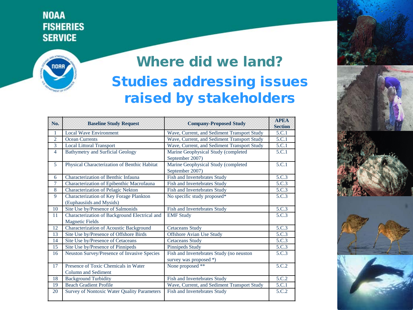

# Where did we land? Studies addressing issues raised by stakeholders

| No.            | <b>Baseline Study Request</b>                                           | <b>Company-Proposed Study</b>                                      | <b>APEA</b><br><b>Section</b> |
|----------------|-------------------------------------------------------------------------|--------------------------------------------------------------------|-------------------------------|
| 1              | <b>Local Wave Environment</b>                                           | Wave, Current, and Sediment Transport Study                        | 5.C.1                         |
| $\overline{2}$ | <b>Ocean Currents</b>                                                   | Wave, Current, and Sediment Transport Study                        | 5.C.1                         |
| 3              | <b>Local Littoral Transport</b>                                         | Wave, Current, and Sediment Transport Study                        | 5.C.1                         |
| $\overline{4}$ | <b>Bathymetry and Surficial Geology</b>                                 | Marine Geophysical Study (completed<br>September 2007)             | 5.C.1                         |
| 5              | Physical Characterization of Benthic Habitat                            | Marine Geophysical Study (completed<br>September 2007)             | 5.C.1                         |
| 6              | Characterization of Benthic Infauna                                     | Fish and Invertebrates Study                                       | 5.C.3                         |
| $\overline{7}$ | Characterization of Epibenthic Macrofauna                               | Fish and Invertebrates Study                                       | 5.C.3                         |
| 8              | Characterization of Pelagic Nekton                                      | <b>Fish and Invertebrates Study</b>                                | 5.C.3                         |
| 9              | Characterization of Key Forage Plankton<br>(Euphausiids and Mysids)     | No specific study proposed*                                        | 5.C.3                         |
| 10             | Site Use by/Presence of Salmonids                                       | Fish and Invertebrates Study                                       | 5.C.3                         |
| 11             | Characterization of Background Electrical and<br><b>Magnetic Fields</b> | <b>EMF</b> Study                                                   | 5.C.3                         |
| 12             | Characterization of Acoustic Background                                 | <b>Cetaceans Study</b>                                             | 5.C.3                         |
| 13             | Site Use by/Presence of Offshore Birds                                  | Offshore Avian Use Study                                           | 5.C.3                         |
| 14             | Site Use by/Presence of Cetaceans                                       | <b>Cetaceans Study</b>                                             | 5.C.3                         |
| 15             | Site Use by/Presence of Pinnipeds                                       | Pinnipeds Study                                                    | 5.C.3                         |
| 16             | Neuston Survey/Presence of Invasive Species                             | Fish and Invertebrates Study (no neuston<br>survey was proposed *) | 5.C.3                         |
| 17             | Presence of Toxic Chemicals in Water<br>Column and Sediment             | None proposed **                                                   | 5.C.2                         |
| 18             | <b>Background Turbidity</b>                                             | Fish and Invertebrates Study                                       | 5.C.2                         |
| 19             | <b>Beach Gradient Profile</b>                                           | Wave, Current, and Sediment Transport Study                        | 5.C.1                         |
| 20             | Survey of Nontoxic Water Quality Parameters                             | <b>Fish and Invertebrates Study</b>                                | 5.C.2                         |



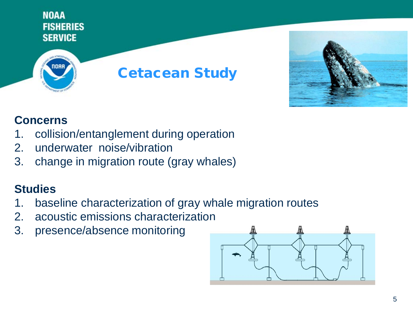



#### **Concerns**

- 1. collision/entanglement during operation
- 2. underwater noise/vibration
- 3. change in migration route (gray whales)

- 1. baseline characterization of gray whale migration routes
- 2. acoustic emissions characterization
- 3. presence/absence monitoring

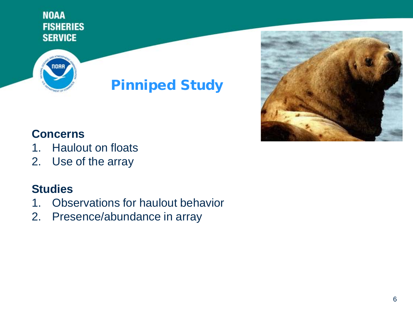

# Pinniped Study



#### **Concerns**

- 1. Haulout on floats
- 2. Use of the array

- 1. Observations for haulout behavior
- 2. Presence/abundance in array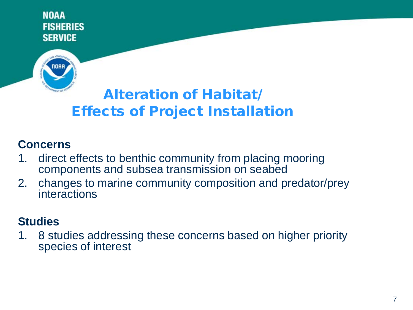

# Alteration of Habitat/ Effects of Project Installation

#### **Concerns**

- 1. direct effects to benthic community from placing mooring components and subsea transmission on seabed
- 2. changes to marine community composition and predator/prey interactions

#### **Studies**

1. 8 studies addressing these concerns based on higher priority species of interest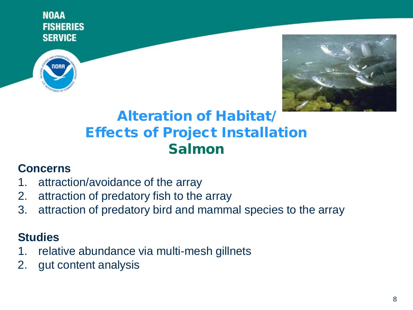



## Alteration of Habitat/ Effects of Project Installation Salmon

#### **Concerns**

- 1. attraction/avoidance of the array
- 2. attraction of predatory fish to the array
- 3. attraction of predatory bird and mammal species to the array

- 1. relative abundance via multi-mesh gillnets
- 2. gut content analysis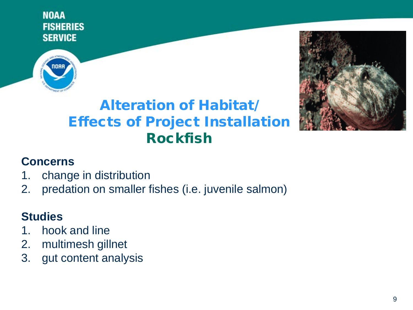



# Alteration of Habitat/ Effects of Project Installation Rockfish

#### **Concerns**

- 1. change in distribution
- 2. predation on smaller fishes (i.e. juvenile salmon)

- 1. hook and line
- 2. multimesh gillnet
- 3. gut content analysis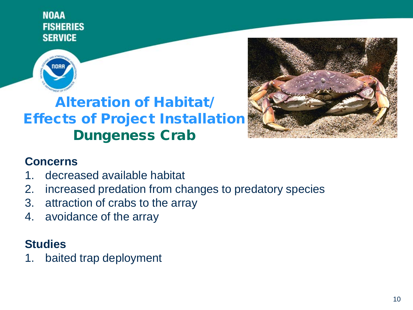

# Alteration of Habitat/ Effects of Project Installation Dungeness Crab



#### **Concerns**

- 1. decreased available habitat
- 2. increased predation from changes to predatory species
- 3. attraction of crabs to the array
- 4. avoidance of the array

#### **Studies**

1. baited trap deployment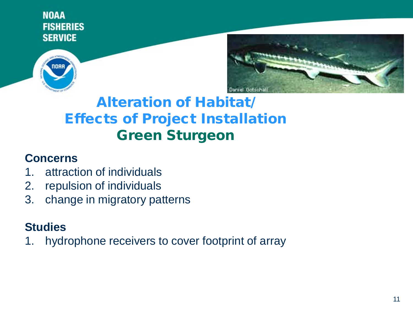



## Alteration of Habitat/ Effects of Project Installation Green Sturgeon

#### **Concerns**

- 1. attraction of individuals
- 2. repulsion of individuals
- 3. change in migratory patterns

### **Studies**

1. hydrophone receivers to cover footprint of array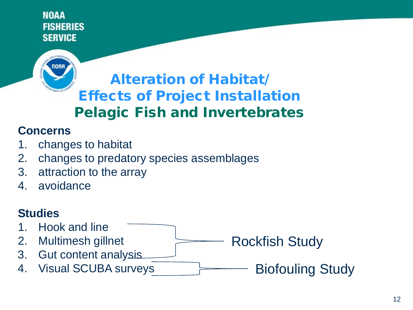

# Alteration of Habitat/ Effects of Project Installation Pelagic Fish and Invertebrates

#### **Concerns**

- 1. changes to habitat
- 2. changes to predatory species assemblages
- 3. attraction to the array
- 4. avoidance

#### **Studies**

- 1. Hook and line
- 2. Multimesh gillnet
- 3. Gut content analysis
- 4. Visual SCUBA surveys

Rockfish Study

Biofouling Study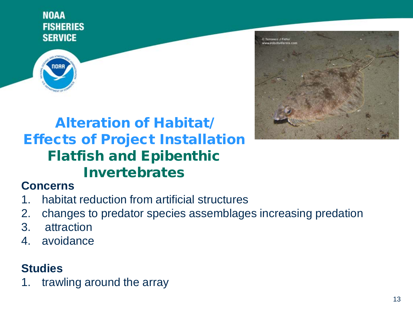

# Alteration of Habitat/ Effects of Project Installation Flatfish and Epibenthic Invertebrates



#### **Concerns**

- 1. habitat reduction from artificial structures
- 2. changes to predator species assemblages increasing predation
- 3. attraction
- 4. avoidance

#### **Studies**

1. trawling around the array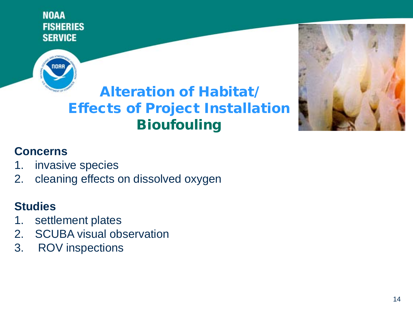

# Alteration of Habitat/ Effects of Project Installation **Bioufouling**



## **Concerns**

- 1. invasive species
- 2. cleaning effects on dissolved oxygen

- 1. settlement plates
- 2. SCUBA visual observation
- 3. ROV inspections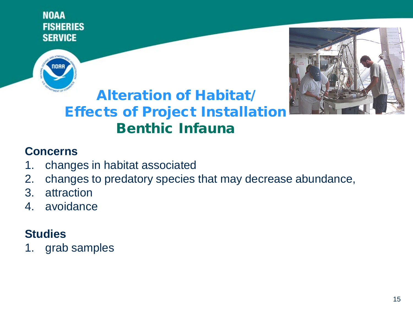



## Alteration of Habitat/ Effects of Project Installation Benthic Infauna

#### **Concerns**

- 1. changes in habitat associated
- 2. changes to predatory species that may decrease abundance,
- 3. attraction
- 4. avoidance

### **Studies**

1. grab samples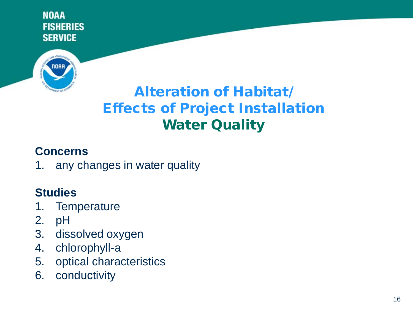

# Alteration of Habitat/ Effects of Project Installation **Water Quality**

#### **Concerns**

1. any changes in water quality

- 1. Temperature
- 2. pH
- 3. dissolved oxygen
- 4. chlorophyll-a
- 5. optical characteristics
- 6. conductivity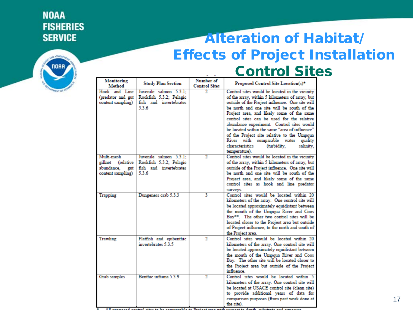

## Alteration of Habitat/ Effects of Project Installation Control Sites

| Monitoring<br>Method | <b>Study Plan Section</b> | Number of<br><b>Control Sites</b> | Proposed Control Site Location(s)*              |
|----------------------|---------------------------|-----------------------------------|-------------------------------------------------|
| Hook and Line        | Juvenile salmon 5.3.1:    |                                   | Control sites would be located in the vicinity  |
| (predator and gut    | Rockfish 5.3.2; Pelagic   |                                   | of the array, within 5 kilometers of array, but |
| content sampling)    | fish and invertebrates    |                                   | outside of the Project influence. One site will |
|                      | 5.3.6                     |                                   | be north and one site will be south of the      |
|                      |                           |                                   | Project area, and likely some of the same       |
|                      |                           |                                   |                                                 |
|                      |                           |                                   | control sites can be used for the relative      |
|                      |                           |                                   | abundance experiment. Control sites would       |
|                      |                           |                                   | be located within the same "area of influence"  |
|                      |                           |                                   | of the Project site relative to the Umpqua      |
|                      |                           |                                   | River with comparable water<br>quality          |
|                      |                           |                                   | characteristics<br>(turbidity,<br>salinity.     |
|                      |                           |                                   | temperature).                                   |
| Multi-mesh           | Juvenile salmon 5.3.1:    | 2                                 | Control sites would be located in the vicinity  |
| gillnet (relative    | Rockfish 5.3.2; Pelagic   |                                   | of the array, within 5 kilometers of array, but |
| abundance.<br>gut    | fish and invertebrates    |                                   | outside of the Project influence. One site will |
| content sampling)    | 5.3.6                     |                                   | be north and one site will be south of the      |
|                      |                           |                                   | Project area, and likely some of the same       |
|                      |                           |                                   | control sites as hook and line predator         |
|                      |                           |                                   | surveys.                                        |
| Trapping             | Dungeness crab 5.3.3      | 3                                 | Control sites would be located within 20        |
|                      |                           |                                   | kilometers of the array. One control site will  |
|                      |                           |                                   | be located approximately equidistant between    |
|                      |                           |                                   | the mouth of the Unipqua River and Coos         |
|                      |                           |                                   | Bay**. The other two control sites will be      |
|                      |                           |                                   | located closer to the Project area but outside  |
|                      |                           |                                   | of Project influence, to the north and south of |
|                      |                           |                                   | the Project area.                               |
| Trawling             | Flatfish and epibenthic   | $\mathbf{2}$                      | Control sites would be located within 20        |
|                      | invertebrates 5.3.5       |                                   | kilometers of the array. One control site will  |
|                      |                           |                                   | be located approximately equidistant between    |
|                      |                           |                                   | the mouth of the Umpqua River and Coos          |
|                      |                           |                                   | Bay. The other site will be located closer to   |
|                      |                           |                                   | the Project area but outside of the Project     |
|                      |                           |                                   | influence                                       |
| Grab samples         | Benthic infauna 5.3.9     | 2                                 | Control sites would be located within 5         |
|                      |                           |                                   | kilometers of the array. One control site will  |
|                      |                           |                                   | be located at USACE control site (clean site)   |
|                      |                           |                                   | to provide additional years of data for         |
|                      |                           |                                   | comparison purposes (from past work done at     |
|                      |                           |                                   | the site).                                      |

\* All nonneed control city to be commanded to Deciset ones with concert to double coherents and come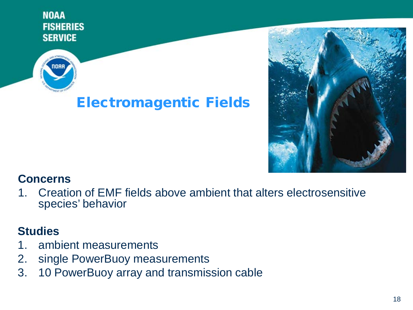

## Electromagentic Fields



#### **Concerns**

1. Creation of EMF fields above ambient that alters electrosensitive species' behavior

- 1. ambient measurements
- 2. single PowerBuoy measurements
- 3. 10 PowerBuoy array and transmission cable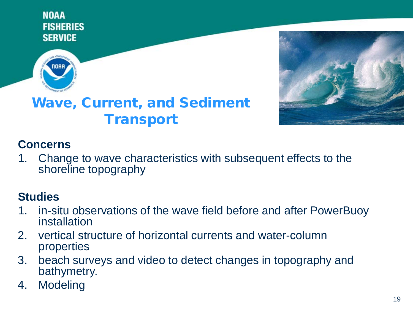



## Wave, Current, and Sediment **Transport**

#### **Concerns**

1. Change to wave characteristics with subsequent effects to the shoreline topography

- 1. in-situ observations of the wave field before and after PowerBuoy installation
- 2. vertical structure of horizontal currents and water-column properties
- 3. beach surveys and video to detect changes in topography and bathymetry.
- 4. Modeling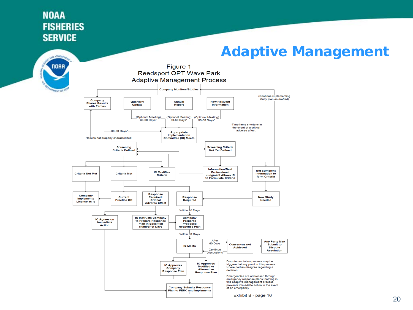## Adaptive Management